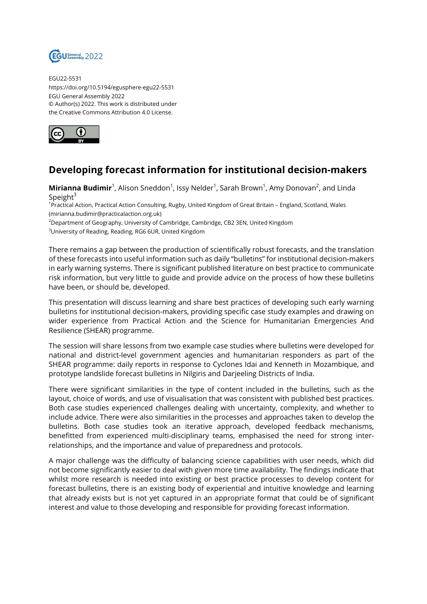

EGU22-5531 https://doi.org/10.5194/egusphere-egu22-5531 EGU General Assembly 2022 © Author(s) 2022. This work is distributed under the Creative Commons Attribution 4.0 License.



## **Developing forecast information for institutional decision-makers**

**Mirianna Budimir**<sup>1</sup>, Alison Sneddon<sup>1</sup>, Issy Nelder<sup>1</sup>, Sarah Brown<sup>1</sup>, Amy Donovan<sup>2</sup>, and Linda Speight $3$ 

<sup>1</sup>Practical Action, Practical Action Consulting, Rugby, United Kingdom of Great Britain – England, Scotland, Wales (mirianna.budimir@practicalaction.org.uk)

<sup>2</sup>Department of Geography, University of Cambridge, Cambridge, CB2 3EN, United Kingdom

<sup>3</sup>University of Reading, Reading, RG6 6UR, United Kingdom

There remains a gap between the production of scientifically robust forecasts, and the translation of these forecasts into useful information such as daily "bulletins" for institutional decision-makers in early warning systems. There is significant published literature on best practice to communicate risk information, but very little to guide and provide advice on the process of how these bulletins have been, or should be, developed.

This presentation will discuss learning and share best practices of developing such early warning bulletins for institutional decision-makers, providing specific case study examples and drawing on wider experience from Practical Action and the Science for Humanitarian Emergencies And Resilience (SHEAR) programme.

The session will share lessons from two example case studies where bulletins were developed for national and district-level government agencies and humanitarian responders as part of the SHEAR programme: daily reports in response to Cyclones Idai and Kenneth in Mozambique, and prototype landslide forecast bulletins in Nilgiris and Darjeeling Districts of India.

There were significant similarities in the type of content included in the bulletins, such as the layout, choice of words, and use of visualisation that was consistent with published best practices. Both case studies experienced challenges dealing with uncertainty, complexity, and whether to include advice. There were also similarities in the processes and approaches taken to develop the bulletins. Both case studies took an iterative approach, developed feedback mechanisms, benefitted from experienced multi-disciplinary teams, emphasised the need for strong interrelationships, and the importance and value of preparedness and protocols.

A major challenge was the difficulty of balancing science capabilities with user needs, which did not become significantly easier to deal with given more time availability. The findings indicate that whilst more research is needed into existing or best practice processes to develop content for forecast bulletins, there is an existing body of experiential and intuitive knowledge and learning that already exists but is not yet captured in an appropriate format that could be of significant interest and value to those developing and responsible for providing forecast information.